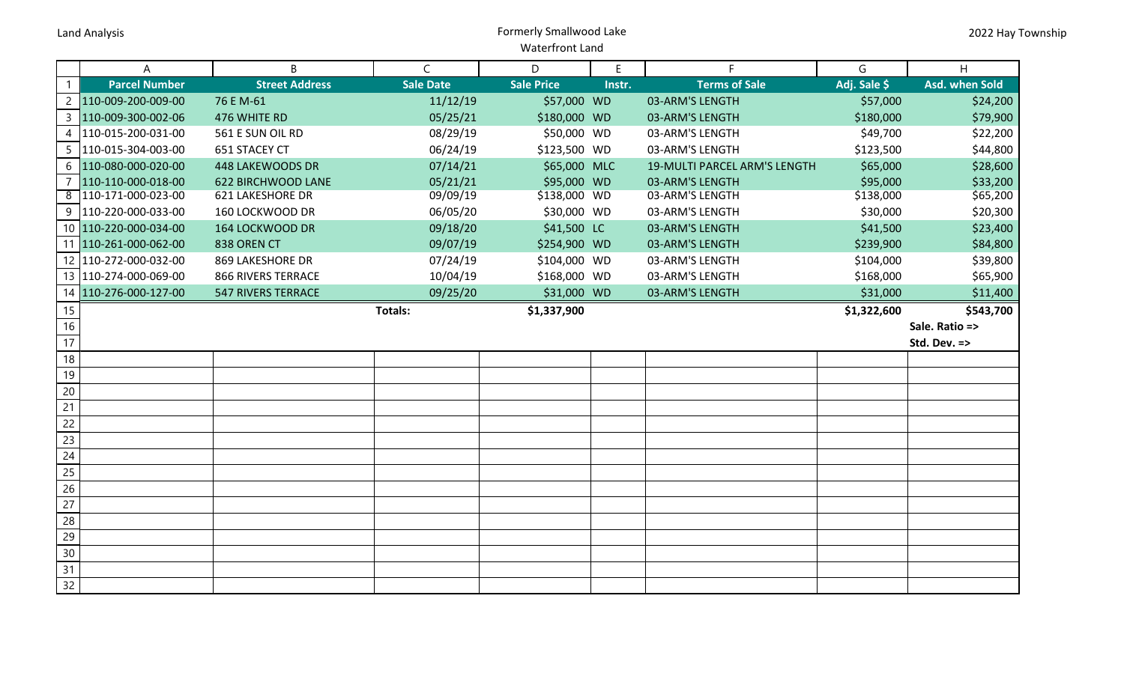## Land Analysis Formerly Smallwood Lake Waterfront Land

|                | A                       | B                         | $\mathsf{C}$     | D.                | E      | F.                           | G            | H              |
|----------------|-------------------------|---------------------------|------------------|-------------------|--------|------------------------------|--------------|----------------|
| $\mathbf{1}$   | <b>Parcel Number</b>    | <b>Street Address</b>     | <b>Sale Date</b> | <b>Sale Price</b> | Instr. | <b>Terms of Sale</b>         | Adj. Sale \$ | Asd. when Sold |
| $\overline{2}$ | 110-009-200-009-00      | 76 E M-61                 | 11/12/19         | \$57,000 WD       |        | 03-ARM'S LENGTH              | \$57,000     | \$24,200       |
| 3              | 110-009-300-002-06      | 476 WHITE RD              | 05/25/21         | \$180,000 WD      |        | 03-ARM'S LENGTH              | \$180,000    | \$79,900       |
|                | 4   110-015-200-031-00  | 561 E SUN OIL RD          | 08/29/19         | \$50,000 WD       |        | 03-ARM'S LENGTH              | \$49,700     | \$22,200       |
|                | 5  110-015-304-003-00   | 651 STACEY CT             | 06/24/19         | \$123,500 WD      |        | 03-ARM'S LENGTH              | \$123,500    | \$44,800       |
| 6              | 110-080-000-020-00      | 448 LAKEWOODS DR          | 07/14/21         | \$65,000 MLC      |        | 19-MULTI PARCEL ARM'S LENGTH | \$65,000     | \$28,600       |
| $\overline{7}$ | 110-110-000-018-00      | <b>622 BIRCHWOOD LANE</b> | 05/21/21         | \$95,000 WD       |        | 03-ARM'S LENGTH              | \$95,000     | \$33,200       |
| 8              | 110-171-000-023-00      | <b>621 LAKESHORE DR</b>   | 09/09/19         | \$138,000 WD      |        | 03-ARM'S LENGTH              | \$138,000    | \$65,200       |
| 9              | 110-220-000-033-00      | 160 LOCKWOOD DR           | 06/05/20         | \$30,000 WD       |        | 03-ARM'S LENGTH              | \$30,000     | \$20,300       |
|                | 10 110-220-000-034-00   | 164 LOCKWOOD DR           | 09/18/20         | \$41,500 LC       |        | 03-ARM'S LENGTH              | \$41,500     | \$23,400       |
|                | 11 110-261-000-062-00   | 838 OREN CT               | 09/07/19         | \$254,900 WD      |        | 03-ARM'S LENGTH              | \$239,900    | \$84,800       |
|                | 12 110-272-000-032-00   | <b>869 LAKESHORE DR</b>   | 07/24/19         | \$104,000 WD      |        | 03-ARM'S LENGTH              | \$104,000    | \$39,800       |
|                | 13   110-274-000-069-00 | <b>866 RIVERS TERRACE</b> | 10/04/19         | \$168,000 WD      |        | 03-ARM'S LENGTH              | \$168,000    | \$65,900       |
|                | 14 110-276-000-127-00   | <b>547 RIVERS TERRACE</b> | 09/25/20         | \$31,000 WD       |        | 03-ARM'S LENGTH              | \$31,000     | \$11,400       |
| 15             |                         |                           | Totals:          | \$1,337,900       |        |                              | \$1,322,600  | \$543,700      |
| 16             |                         |                           |                  |                   |        |                              |              | Sale. Ratio => |
| 17             |                         |                           |                  |                   |        |                              |              | Std. Dev. =>   |
| 18             |                         |                           |                  |                   |        |                              |              |                |
| 19             |                         |                           |                  |                   |        |                              |              |                |
| $20\,$         |                         |                           |                  |                   |        |                              |              |                |
| 21             |                         |                           |                  |                   |        |                              |              |                |
| 22             |                         |                           |                  |                   |        |                              |              |                |
| 23             |                         |                           |                  |                   |        |                              |              |                |
| 24             |                         |                           |                  |                   |        |                              |              |                |
| 25             |                         |                           |                  |                   |        |                              |              |                |
| 26             |                         |                           |                  |                   |        |                              |              |                |
| 27             |                         |                           |                  |                   |        |                              |              |                |
| 28             |                         |                           |                  |                   |        |                              |              |                |
| 29             |                         |                           |                  |                   |        |                              |              |                |
| 30             |                         |                           |                  |                   |        |                              |              |                |
| 31             |                         |                           |                  |                   |        |                              |              |                |
| 32             |                         |                           |                  |                   |        |                              |              |                |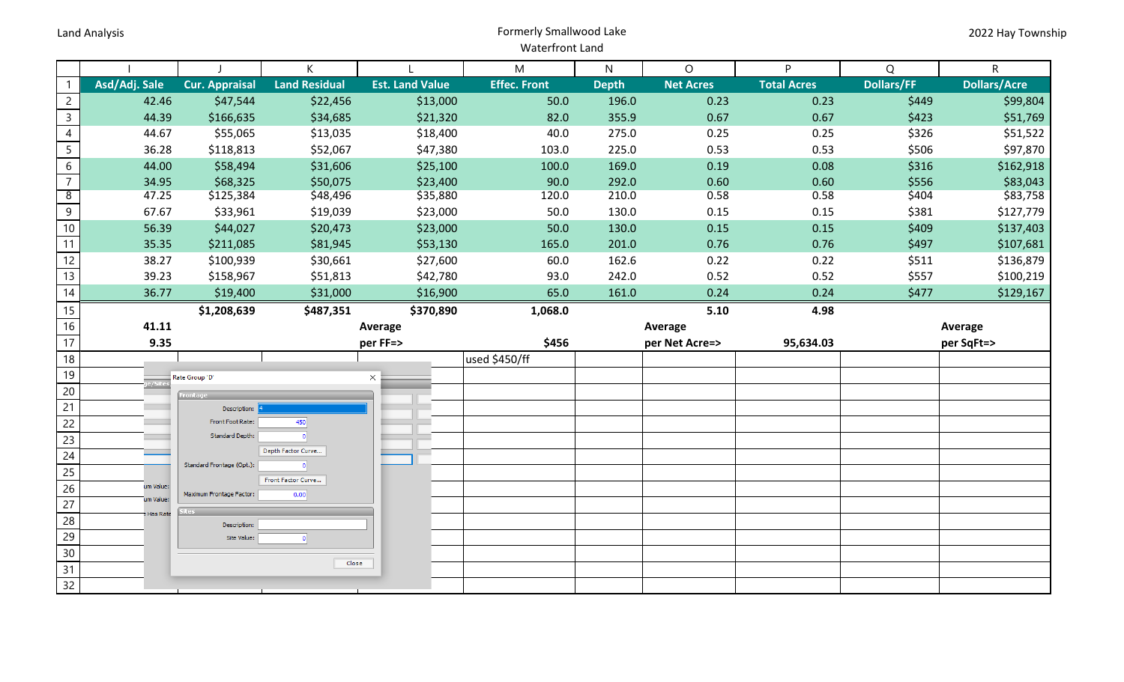## Land Analysis Formerly Smallwood Lake Waterfront Land

|                 |                 |                                  | K                    |                        | M                   | $\mathsf{N}$ | $\circ$          | P                  | Q                 | $\overline{R}$      |
|-----------------|-----------------|----------------------------------|----------------------|------------------------|---------------------|--------------|------------------|--------------------|-------------------|---------------------|
| $\mathbf{1}$    | Asd/Adj. Sale   | <b>Cur. Appraisal</b>            | <b>Land Residual</b> | <b>Est. Land Value</b> | <b>Effec. Front</b> | <b>Depth</b> | <b>Net Acres</b> | <b>Total Acres</b> | <b>Dollars/FF</b> | <b>Dollars/Acre</b> |
| $\overline{2}$  | 42.46           | \$47,544                         | \$22,456             | \$13,000               | 50.0                | 196.0        | 0.23             | 0.23               | \$449             | \$99,804            |
| $\overline{3}$  | 44.39           | \$166,635                        | \$34,685             | \$21,320               | 82.0                | 355.9        | 0.67             | 0.67               | \$423             | \$51,769            |
| $\overline{4}$  | 44.67           | \$55,065                         | \$13,035             | \$18,400               | 40.0                | 275.0        | 0.25             | 0.25               | \$326             | \$51,522            |
| $5\overline{)}$ | 36.28           | \$118,813                        | \$52,067             | \$47,380               | 103.0               | 225.0        | 0.53             | 0.53               | \$506             | \$97,870            |
| $6\overline{6}$ | 44.00           | \$58,494                         | \$31,606             | \$25,100               | 100.0               | 169.0        | 0.19             | 0.08               | \$316             | \$162,918           |
| $\overline{7}$  | 34.95           | \$68,325                         | \$50,075             | \$23,400               | 90.0                | 292.0        | 0.60             | 0.60               | \$556             | \$83,043            |
| $\overline{8}$  | 47.25           | \$125,384                        | \$48,496             | \$35,880               | 120.0               | 210.0        | 0.58             | 0.58               | \$404             | \$83,758            |
| $\overline{9}$  | 67.67           | \$33,961                         | \$19,039             | \$23,000               | 50.0                | 130.0        | 0.15             | 0.15               | \$381             | \$127,779           |
| 10              | 56.39           | \$44,027                         | \$20,473             | \$23,000               | 50.0                | 130.0        | 0.15             | 0.15               | \$409             | \$137,403           |
| 11              | 35.35           | \$211,085                        | \$81,945             | \$53,130               | 165.0               | 201.0        | 0.76             | 0.76               | \$497             | \$107,681           |
| 12              | 38.27           | \$100,939                        | \$30,661             | \$27,600               | 60.0                | 162.6        | 0.22             | 0.22               | \$511             | \$136,879           |
| 13              | 39.23           | \$158,967                        | \$51,813             | \$42,780               | 93.0                | 242.0        | 0.52             | 0.52               | \$557             | \$100,219           |
| 14              | 36.77           | \$19,400                         | \$31,000             | \$16,900               | 65.0                | 161.0        | 0.24             | 0.24               | \$477             | \$129,167           |
| 15              |                 | \$1,208,639                      | \$487,351            | \$370,890              | 1,068.0             |              | 5.10             | 4.98               |                   |                     |
| 16              | 41.11           |                                  |                      | Average                |                     |              | Average          |                    |                   | Average             |
| 17              | 9.35            |                                  |                      | per FF=>               | \$456               |              | per Net Acre=>   | 95,634.03          |                   | per SqFt=>          |
| 18              |                 |                                  |                      |                        | used \$450/ff       |              |                  |                    |                   |                     |
| 19<br>20        |                 | Rate Group 'D'                   |                      | $\times$               |                     |              |                  |                    |                   |                     |
| 21              |                 |                                  |                      |                        |                     |              |                  |                    |                   |                     |
| 22              |                 | Description:<br>Front Foot Rate: | 450                  |                        |                     |              |                  |                    |                   |                     |
| 23              |                 | Standard Depth:                  | -ol                  |                        |                     |              |                  |                    |                   |                     |
| 24              |                 |                                  | Depth Factor Curve   |                        |                     |              |                  |                    |                   |                     |
| $\overline{25}$ |                 | Standard Frontage (Opt.):        | $\Omega$             |                        |                     |              |                  |                    |                   |                     |
| 26              | um Value:       |                                  | Front Factor Curve   |                        |                     |              |                  |                    |                   |                     |
| 27              | um Value:       | Maximum Frontage Factor:         | 0.00                 |                        |                     |              |                  |                    |                   |                     |
| 28              | <b>Has Rate</b> | Description:                     |                      |                        |                     |              |                  |                    |                   |                     |
| 29              |                 | Site Value:                      | -ol                  |                        |                     |              |                  |                    |                   |                     |
| 30              |                 |                                  |                      |                        |                     |              |                  |                    |                   |                     |
| 31              |                 |                                  | Close                |                        |                     |              |                  |                    |                   |                     |
| $\overline{32}$ |                 |                                  |                      |                        |                     |              |                  |                    |                   |                     |